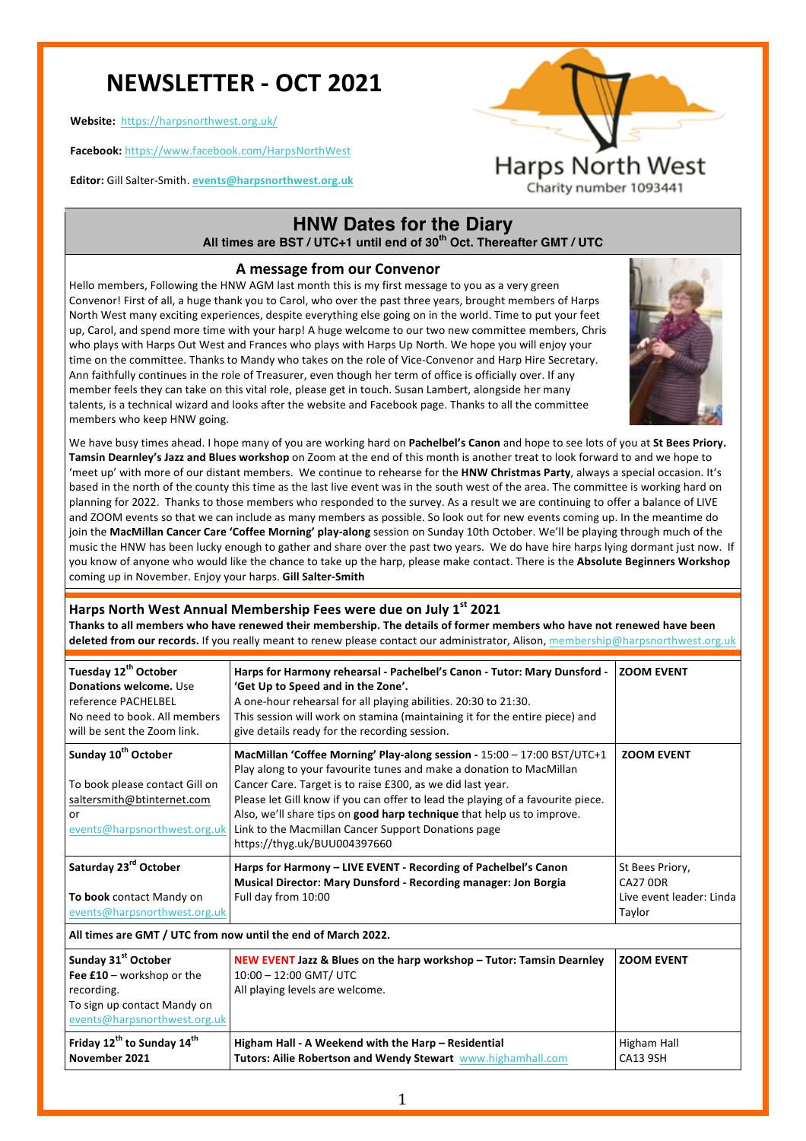# **NEWSLETTER - OCT 2021**

**Website:**  https://harpsnorthwest.org.uk/

**Facebook:** https://www.facebook.com/HarpsNorthWest

**Editor:** Gill Salter-Smith. **events@harpsnorthwest.org.uk**



## **HNW Dates for the Diary All times are BST / UTC+1 until end of 30th Oct. Thereafter GMT / UTC**

### **A message from our Convenor**

Hello members, Following the HNW AGM last month this is my first message to you as a very green Convenor! First of all, a huge thank you to Carol, who over the past three years, brought members of Harps North West many exciting experiences, despite everything else going on in the world. Time to put your feet up, Carol, and spend more time with your harp! A huge welcome to our two new committee members, Chris who plays with Harps Out West and Frances who plays with Harps Up North. We hope you will enjoy your time on the committee. Thanks to Mandy who takes on the role of Vice-Convenor and Harp Hire Secretary. Ann faithfully continues in the role of Treasurer, even though her term of office is officially over. If any member feels they can take on this vital role, please get in touch. Susan Lambert, alongside her many talents, is a technical wizard and looks after the website and Facebook page. Thanks to all the committee members who keep HNW going.



We have busy times ahead. I hope many of you are working hard on Pachelbel's Canon and hope to see lots of you at St Bees Priory. Tamsin Dearnley's Jazz and Blues workshop on Zoom at the end of this month is another treat to look forward to and we hope to 'meet up' with more of our distant members. We continue to rehearse for the HNW Christmas Party, always a special occasion. It's based in the north of the county this time as the last live event was in the south west of the area. The committee is working hard on planning for 2022. Thanks to those members who responded to the survey. As a result we are continuing to offer a balance of LIVE and ZOOM events so that we can include as many members as possible. So look out for new events coming up. In the meantime do join the MacMillan Cancer Care 'Coffee Morning' play-along session on Sunday 10th October. We'll be playing through much of the music the HNW has been lucky enough to gather and share over the past two years. We do have hire harps lying dormant just now. If you know of anyone who would like the chance to take up the harp, please make contact. There is the Absolute Beginners Workshop coming up in November. Enjoy your harps. Gill Salter-Smith

## Harps North West Annual Membership Fees were due on July 1<sup>st</sup> 2021

**Thanks to all members who have renewed their membership. The details of former members who have not renewed have been** deleted from our records. If you really meant to renew please contact our administrator, Alison, membership@harpsnorthwest.org.uk

| Tuesday 12 <sup>th</sup> October<br>Donations welcome. Use<br>reference PACHELBEL<br>No need to book. All members<br>will be sent the Zoom link. | Harps for Harmony rehearsal - Pachelbel's Canon - Tutor: Mary Dunsford -<br>'Get Up to Speed and in the Zone'.<br>A one-hour rehearsal for all playing abilities. 20:30 to 21:30.<br>This session will work on stamina (maintaining it for the entire piece) and<br>give details ready for the recording session.                                                                                                                                                | <b>ZOOM EVENT</b>                                                        |  |  |
|--------------------------------------------------------------------------------------------------------------------------------------------------|------------------------------------------------------------------------------------------------------------------------------------------------------------------------------------------------------------------------------------------------------------------------------------------------------------------------------------------------------------------------------------------------------------------------------------------------------------------|--------------------------------------------------------------------------|--|--|
| Sunday 10 <sup>th</sup> October<br>To book please contact Gill on<br>saltersmith@btinternet.com<br>or<br>events@harpsnorthwest.org.uk            | MacMillan 'Coffee Morning' Play-along session - 15:00 - 17:00 BST/UTC+1<br>Play along to your favourite tunes and make a donation to MacMillan<br>Cancer Care. Target is to raise £300, as we did last year.<br>Please let Gill know if you can offer to lead the playing of a favourite piece.<br>Also, we'll share tips on good harp technique that help us to improve.<br>Link to the Macmillan Cancer Support Donations page<br>https://thyg.uk/BUU004397660 | <b>ZOOM EVENT</b>                                                        |  |  |
| Saturday 23rd October<br>To book contact Mandy on<br>events@harpsnorthwest.org.uk                                                                | Harps for Harmony - LIVE EVENT - Recording of Pachelbel's Canon<br>Musical Director: Mary Dunsford - Recording manager: Jon Borgia<br>Full day from 10:00                                                                                                                                                                                                                                                                                                        | St Bees Priory,<br><b>CA27 0DR</b><br>Live event leader: Linda<br>Taylor |  |  |
| All times are GMT / UTC from now until the end of March 2022.                                                                                    |                                                                                                                                                                                                                                                                                                                                                                                                                                                                  |                                                                          |  |  |
| Sunday 31 <sup>st</sup> October<br>Fee £10 - workshop or the<br>recording.<br>To sign up contact Mandy on<br>events@harpsnorthwest.org.uk        | NEW EVENT Jazz & Blues on the harp workshop - Tutor: Tamsin Dearnley<br>10:00 - 12:00 GMT/ UTC<br>All playing levels are welcome.                                                                                                                                                                                                                                                                                                                                | <b>ZOOM EVENT</b>                                                        |  |  |
| Friday 12 <sup>th</sup> to Sunday 14 <sup>th</sup><br>November 2021                                                                              | Higham Hall - A Weekend with the Harp - Residential<br>Tutors: Ailie Robertson and Wendy Stewart www.highamhall.com                                                                                                                                                                                                                                                                                                                                              | <b>Higham Hall</b><br><b>CA13 9SH</b>                                    |  |  |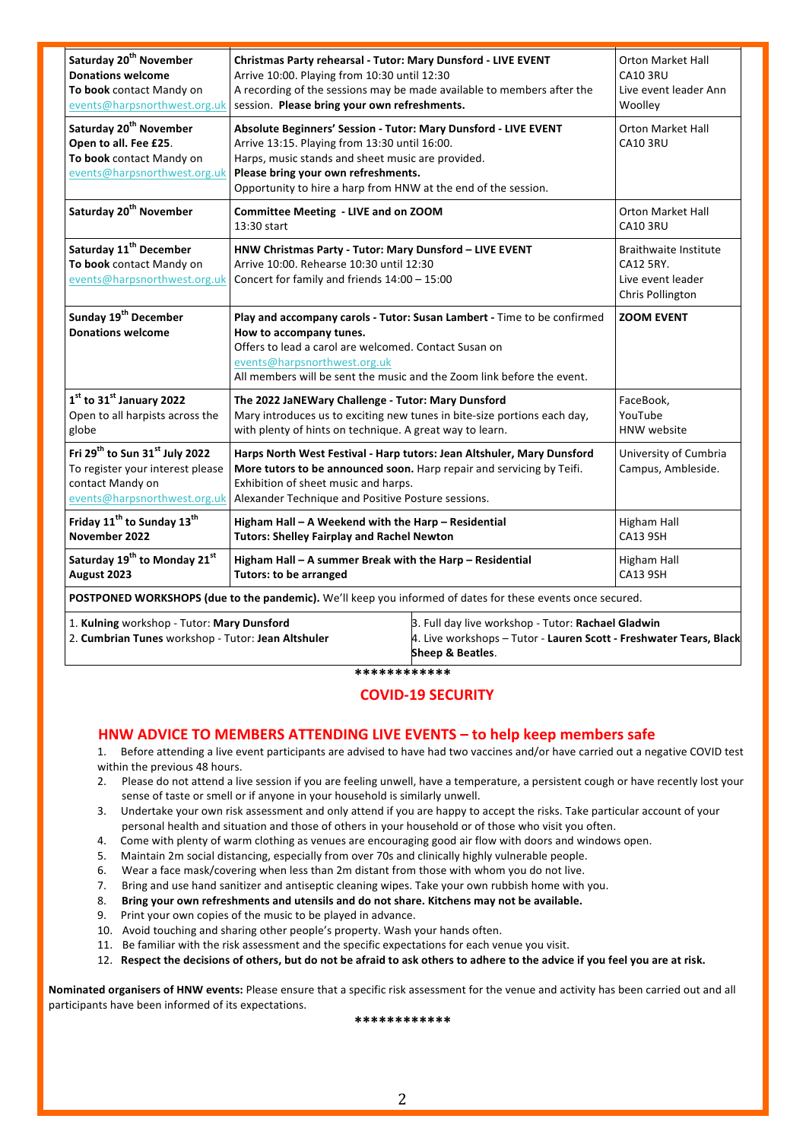| Saturday 20 <sup>th</sup> November<br><b>Donations welcome</b><br>To book contact Mandy on<br>events@harpsnorthwest.org.uk                     | Christmas Party rehearsal - Tutor: Mary Dunsford - LIVE EVENT<br>Arrive 10:00. Playing from 10:30 until 12:30<br>A recording of the sessions may be made available to members after the<br>session. Please bring your own refreshments.                                        |                                                                                                                                              | <b>Orton Market Hall</b><br><b>CA10 3RU</b><br>Live event leader Ann<br>Woolley    |  |
|------------------------------------------------------------------------------------------------------------------------------------------------|--------------------------------------------------------------------------------------------------------------------------------------------------------------------------------------------------------------------------------------------------------------------------------|----------------------------------------------------------------------------------------------------------------------------------------------|------------------------------------------------------------------------------------|--|
| Saturday 20 <sup>th</sup> November<br>Open to all. Fee £25.<br>To book contact Mandy on<br>events@harpsnorthwest.org.uk                        | Absolute Beginners' Session - Tutor: Mary Dunsford - LIVE EVENT<br>Arrive 13:15. Playing from 13:30 until 16:00.<br>Harps, music stands and sheet music are provided.<br>Please bring your own refreshments.<br>Opportunity to hire a harp from HNW at the end of the session. |                                                                                                                                              | <b>Orton Market Hall</b><br><b>CA10 3RU</b>                                        |  |
| Saturday 20 <sup>th</sup> November                                                                                                             | Committee Meeting - LIVE and on ZOOM<br>13:30 start                                                                                                                                                                                                                            |                                                                                                                                              | <b>Orton Market Hall</b><br><b>CA10 3RU</b>                                        |  |
| Saturday 11 <sup>th</sup> December<br>To book contact Mandy on<br>events@harpsnorthwest.org.uk                                                 | HNW Christmas Party - Tutor: Mary Dunsford - LIVE EVENT<br>Arrive 10:00. Rehearse 10:30 until 12:30<br>Concert for family and friends 14:00 - 15:00                                                                                                                            |                                                                                                                                              | <b>Braithwaite Institute</b><br>CA12 5RY.<br>Live event leader<br>Chris Pollington |  |
| Sunday 19 <sup>th</sup> December<br><b>Donations welcome</b>                                                                                   | Play and accompany carols - Tutor: Susan Lambert - Time to be confirmed<br>How to accompany tunes.<br>Offers to lead a carol are welcomed. Contact Susan on<br>events@harpsnorthwest.org.uk<br>All members will be sent the music and the Zoom link before the event.          |                                                                                                                                              | <b>ZOOM EVENT</b>                                                                  |  |
| $1st$ to 31 $st$ January 2022<br>Open to all harpists across the<br>globe                                                                      | The 2022 JaNEWary Challenge - Tutor: Mary Dunsford<br>Mary introduces us to exciting new tunes in bite-size portions each day,<br>with plenty of hints on technique. A great way to learn.                                                                                     |                                                                                                                                              | FaceBook,<br>YouTube<br><b>HNW</b> website                                         |  |
| Fri 29 <sup>th</sup> to Sun 31 <sup>st</sup> July 2022<br>To register your interest please<br>contact Mandy on<br>events@harpsnorthwest.org.uk | Harps North West Festival - Harp tutors: Jean Altshuler, Mary Dunsford<br>More tutors to be announced soon. Harp repair and servicing by Teifi.<br>Exhibition of sheet music and harps.<br>Alexander Technique and Positive Posture sessions.                                  |                                                                                                                                              | University of Cumbria<br>Campus, Ambleside.                                        |  |
| Friday 11 <sup>th</sup> to Sunday 13 <sup>th</sup><br>November 2022                                                                            | Higham Hall - A Weekend with the Harp - Residential<br><b>Tutors: Shelley Fairplay and Rachel Newton</b>                                                                                                                                                                       |                                                                                                                                              | <b>Higham Hall</b><br><b>CA13 9SH</b>                                              |  |
| Saturday 19 <sup>th</sup> to Monday 21 <sup>st</sup><br>August 2023                                                                            | Higham Hall - A summer Break with the Harp - Residential<br><b>Tutors: to be arranged</b>                                                                                                                                                                                      |                                                                                                                                              | Higham Hall<br><b>CA13 9SH</b>                                                     |  |
| POSTPONED WORKSHOPS (due to the pandemic). We'll keep you informed of dates for these events once secured.                                     |                                                                                                                                                                                                                                                                                |                                                                                                                                              |                                                                                    |  |
| 1. Kulning workshop - Tutor: Mary Dunsford<br>2. Cumbrian Tunes workshop - Tutor: Jean Altshuler                                               |                                                                                                                                                                                                                                                                                | 3. Full day live workshop - Tutor: Rachael Gladwin<br>4. Live workshops - Tutor - Lauren Scott - Freshwater Tears, Black<br>Sheep & Beatles. |                                                                                    |  |

**\*\*\*\*\*\*\*\*\*\*\*\***

## **COVID-19 SECURITY**

## **HNW ADVICE TO MEMBERS ATTENDING LIVE EVENTS - to help keep members safe**

1. Before attending a live event participants are advised to have had two vaccines and/or have carried out a negative COVID test within the previous 48 hours.

- 2. Please do not attend a live session if you are feeling unwell, have a temperature, a persistent cough or have recently lost your sense of taste or smell or if anyone in your household is similarly unwell.
- 3. Undertake your own risk assessment and only attend if you are happy to accept the risks. Take particular account of your personal health and situation and those of others in your household or of those who visit you often.
- 4. Come with plenty of warm clothing as venues are encouraging good air flow with doors and windows open.
- 5. Maintain 2m social distancing, especially from over 70s and clinically highly vulnerable people.
- 6. Wear a face mask/covering when less than 2m distant from those with whom you do not live.
- 7. Bring and use hand sanitizer and antiseptic cleaning wipes. Take your own rubbish home with you.
- 8. Bring your own refreshments and utensils and do not share. Kitchens may not be available.
- 9. Print your own copies of the music to be played in advance.
- 10. Avoid touching and sharing other people's property. Wash your hands often.
- 11. Be familiar with the risk assessment and the specific expectations for each venue you visit.
- 12. Respect the decisions of others, but do not be afraid to ask others to adhere to the advice if you feel you are at risk.

**Nominated organisers of HNW events:** Please ensure that a specific risk assessment for the venue and activity has been carried out and all participants have been informed of its expectations.

**\*\*\*\*\*\*\*\*\*\*\*\***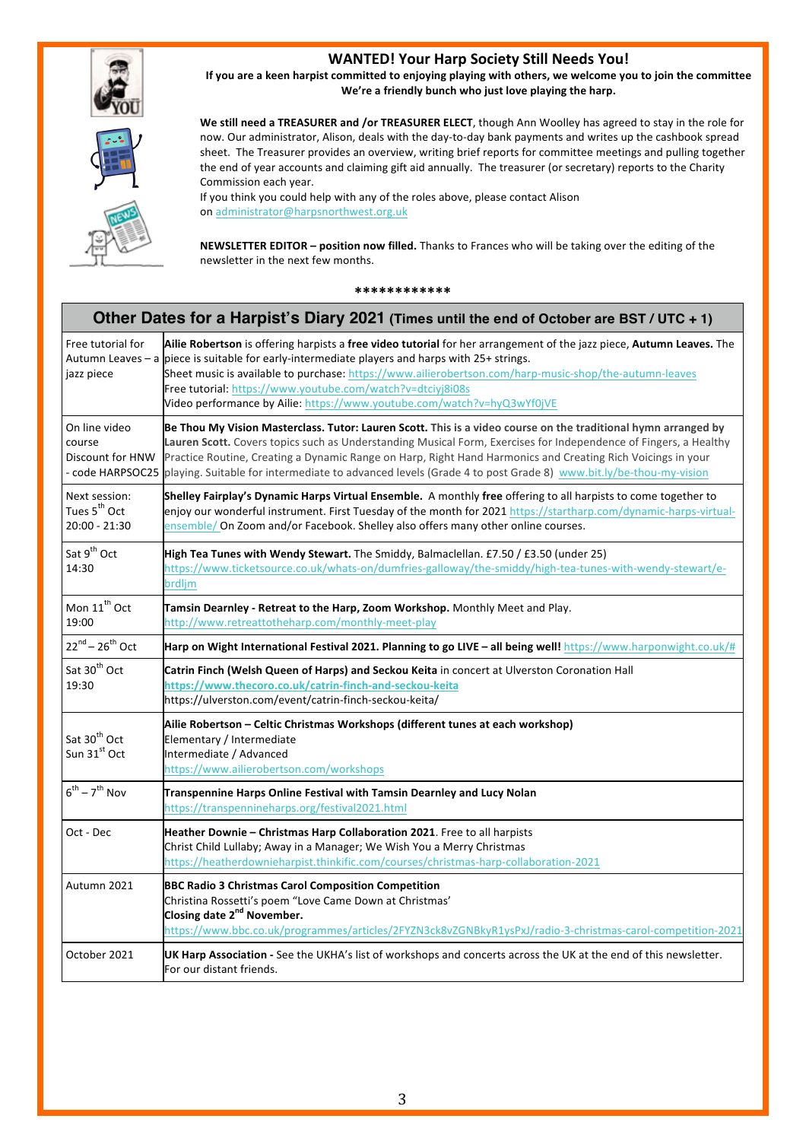

## **WANTED! Your Harp Society Still Needs You!**

If you are a keen harpist committed to enjoying playing with others, we welcome you to join the committee We're a friendly bunch who just love playing the harp.



We still need a TREASURER and /or TREASURER ELECT, though Ann Woolley has agreed to stay in the role for now. Our administrator, Alison, deals with the day-to-day bank payments and writes up the cashbook spread sheet. The Treasurer provides an overview, writing brief reports for committee meetings and pulling together the end of year accounts and claiming gift aid annually. The treasurer (or secretary) reports to the Charity Commission each year.

If you think you could help with any of the roles above, please contact Alison on administrator@harpsnorthwest.org.uk

**NEWSLETTER EDITOR - position now filled.** Thanks to Frances who will be taking over the editing of the newsletter in the next few months.

#### **\*\*\*\*\*\*\*\*\*\*\*\***

| Other Dates for a Harpist's Diary 2021 (Times until the end of October are BST / UTC + 1) |                                                                                                                                                                                                                                                                                                                                                                                                                                                                           |  |
|-------------------------------------------------------------------------------------------|---------------------------------------------------------------------------------------------------------------------------------------------------------------------------------------------------------------------------------------------------------------------------------------------------------------------------------------------------------------------------------------------------------------------------------------------------------------------------|--|
| Free tutorial for<br>jazz piece                                                           | Ailie Robertson is offering harpists a free video tutorial for her arrangement of the jazz piece, Autumn Leaves. The<br>Autumn Leaves - a piece is suitable for early-intermediate players and harps with 25+ strings.<br>Sheet music is available to purchase: https://www.ailierobertson.com/harp-music-shop/the-autumn-leaves<br>Free tutorial: https://www.youtube.com/watch?v=dtciyj8i08s<br>Video performance by Ailie: https://www.youtube.com/watch?v=hyQ3wYf0jVE |  |
| On line video<br>course<br>Discount for HNW<br>- code HARPSOC25                           | Be Thou My Vision Masterclass. Tutor: Lauren Scott. This is a video course on the traditional hymn arranged by<br>Lauren Scott. Covers topics such as Understanding Musical Form, Exercises for Independence of Fingers, a Healthy<br>Practice Routine, Creating a Dynamic Range on Harp, Right Hand Harmonics and Creating Rich Voicings in your<br>playing. Suitable for intermediate to advanced levels (Grade 4 to post Grade 8) www.bit.ly/be-thou-my-vision         |  |
| Next session:<br>Tues 5 <sup>th</sup> Oct<br>$20:00 - 21:30$                              | Shelley Fairplay's Dynamic Harps Virtual Ensemble. A monthly free offering to all harpists to come together to<br>enjoy our wonderful instrument. First Tuesday of the month for 2021 https://startharp.com/dynamic-harps-virtual-<br>ensemble/ On Zoom and/or Facebook. Shelley also offers many other online courses.                                                                                                                                                   |  |
| Sat 9 <sup>th</sup> Oct<br>14:30                                                          | High Tea Tunes with Wendy Stewart. The Smiddy, Balmaclellan. £7.50 / £3.50 (under 25)<br>https://www.ticketsource.co.uk/whats-on/dumfries-galloway/the-smiddy/high-tea-tunes-with-wendy-stewart/e-<br>brdljm                                                                                                                                                                                                                                                              |  |
| Mon 11 <sup>th</sup> Oct<br>19:00                                                         | Tamsin Dearnley - Retreat to the Harp, Zoom Workshop. Monthly Meet and Play.<br>http://www.retreattotheharp.com/monthly-meet-play                                                                                                                                                                                                                                                                                                                                         |  |
| $22^{nd} - 26^{th}$ Oct                                                                   | Harp on Wight International Festival 2021. Planning to go LIVE - all being well! https://www.harponwight.co.uk/#                                                                                                                                                                                                                                                                                                                                                          |  |
| Sat 30 <sup>th</sup> Oct<br>19:30                                                         | Catrin Finch (Welsh Queen of Harps) and Seckou Keita in concert at Ulverston Coronation Hall<br>https://www.thecoro.co.uk/catrin-finch-and-seckou-keita<br>https://ulverston.com/event/catrin-finch-seckou-keita/                                                                                                                                                                                                                                                         |  |
| Sat 30 <sup>th</sup> Oct<br>Sun 31 <sup>st</sup> Oct                                      | Ailie Robertson – Celtic Christmas Workshops (different tunes at each workshop)<br>Elementary / Intermediate<br>Intermediate / Advanced<br>https://www.ailierobertson.com/workshops                                                                                                                                                                                                                                                                                       |  |
| $6^{th}$ – $7^{th}$ Nov                                                                   | Transpennine Harps Online Festival with Tamsin Dearnley and Lucy Nolan<br>https://transpennineharps.org/festival2021.html                                                                                                                                                                                                                                                                                                                                                 |  |
| Oct - Dec                                                                                 | Heather Downie - Christmas Harp Collaboration 2021. Free to all harpists<br>Christ Child Lullaby; Away in a Manager; We Wish You a Merry Christmas<br>https://heatherdownieharpist.thinkific.com/courses/christmas-harp-collaboration-2021                                                                                                                                                                                                                                |  |
| Autumn 2021                                                                               | <b>BBC Radio 3 Christmas Carol Composition Competition</b><br>Christina Rossetti's poem "Love Came Down at Christmas'<br>Closing date 2 <sup>nd</sup> November.<br>https://www.bbc.co.uk/programmes/articles/2FYZN3ck8vZGNBkyR1ysPxJ/radio-3-christmas-carol-competition-2021                                                                                                                                                                                             |  |
| October 2021                                                                              | UK Harp Association - See the UKHA's list of workshops and concerts across the UK at the end of this newsletter.<br>For our distant friends.                                                                                                                                                                                                                                                                                                                              |  |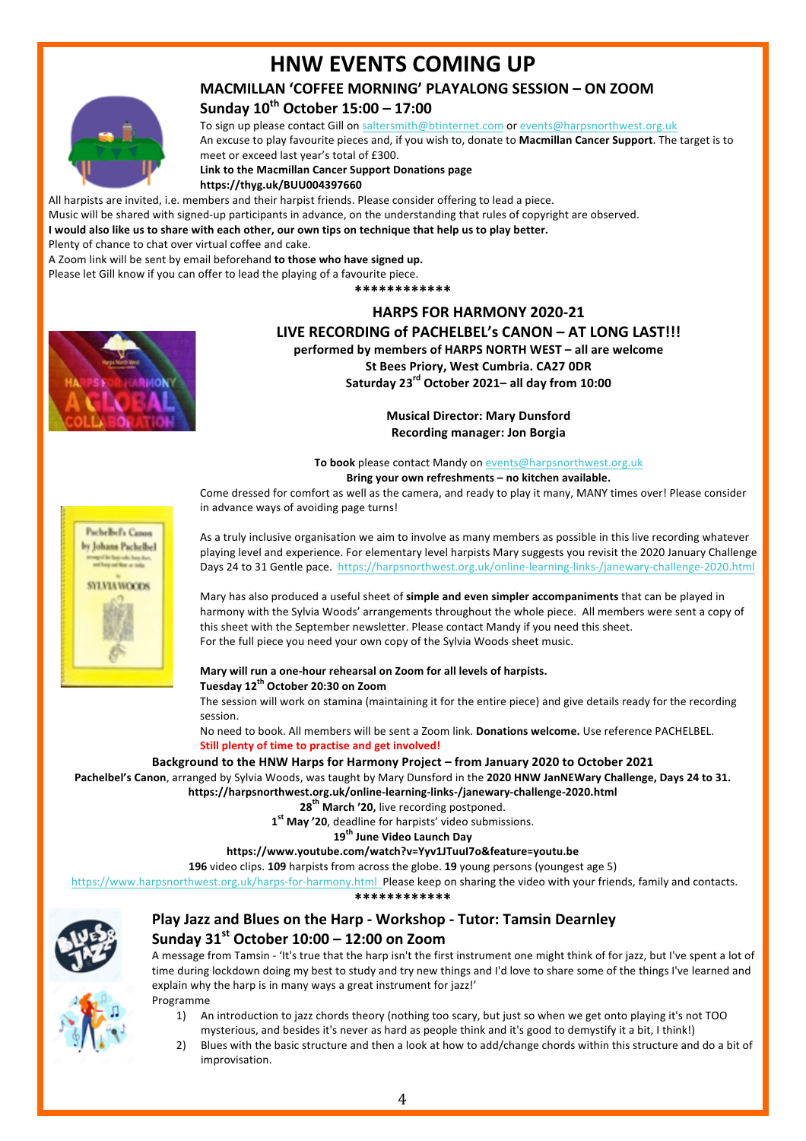## **HNW EVENTS COMING UP**

## **MACMILLAN 'COFFEE MORNING' PLAYALONG SESSION - ON ZOOM**

## **Sunday 10th October 15:00 – 17:00**

To sign up please contact Gill on saltersmith@btinternet.com or events@harpsnorthwest.org.uk An excuse to play favourite pieces and, if you wish to, donate to Macmillan Cancer Support. The target is to meet or exceed last year's total of £300.

**Link to the Macmillan Cancer Support Donations page https://thyg.uk/BUU004397660**

All harpists are invited, i.e. members and their harpist friends. Please consider offering to lead a piece.

Music will be shared with signed-up participants in advance, on the understanding that rules of copyright are observed.

I would also like us to share with each other, our own tips on technique that help us to play better.

Plenty of chance to chat over virtual coffee and cake.

A Zoom link will be sent by email beforehand **to those who have signed up.** 

Please let Gill know if you can offer to lead the playing of a favourite piece.

**\*\*\*\*\*\*\*\*\*\*\*\***

## **HARPS FOR HARMONY 2020-21** LIVE RECORDING of PACHELBEL's CANON – AT LONG LAST!!!



**performed by members of HARPS NORTH WEST – all are welcome St Bees Priory, West Cumbria. CA27 ODR Saturday 23rd October 2021– all day from 10:00**

> **Musical Director: Mary Dunsford Recording manager: Jon Borgia**

To book please contact Mandy on **events@harpsnorthwest.org.uk** 

Bring your own refreshments - no kitchen available.

Come dressed for comfort as well as the camera, and ready to play it many, MANY times over! Please consider in advance ways of avoiding page turns!



As a truly inclusive organisation we aim to involve as many members as possible in this live recording whatever playing level and experience. For elementary level harpists Mary suggests you revisit the 2020 January Challenge Days 24 to 31 Gentle pace. https://harpsnorthwest.org.uk/online-learning-links-/janewary-challenge-2020.html

Mary has also produced a useful sheet of **simple and even simpler accompaniments** that can be played in harmony with the Sylvia Woods' arrangements throughout the whole piece. All members were sent a copy of this sheet with the September newsletter. Please contact Mandy if you need this sheet. For the full piece you need your own copy of the Sylvia Woods sheet music.

#### Mary will run a one-hour rehearsal on Zoom for all levels of harpists. **Tuesday 12th October 20:30 on Zoom**

The session will work on stamina (maintaining it for the entire piece) and give details ready for the recording session. 

No need to book. All members will be sent a Zoom link. **Donations welcome.** Use reference PACHELBEL. **Still plenty of time to practise and get involved!** 

### Background to the HNW Harps for Harmony Project – from January 2020 to October 2021

Pachelbel's Canon, arranged by Sylvia Woods, was taught by Mary Dunsford in the 2020 HNW JanNEWary Challenge, Days 24 to 31. **https://harpsnorthwest.org.uk/online-learning-links-/janewary-challenge-2020.html**

28<sup>th</sup> March '20, live recording postponed.

1<sup>st</sup> May '20, deadline for harpists' video submissions.

**19th June Video Launch Day** 

#### **https://www.youtube.com/watch?v=Yyv1JTuuI7o&feature=youtu.be**

196 video clips. 109 harpists from across the globe. 19 young persons (youngest age 5)

https://www.harpsnorthwest.org.uk/harps-for-harmony.html Please keep on sharing the video with your friends, family and contacts.

**\*\*\*\*\*\*\*\*\*\*\*\***



## **Play Jazz and Blues on the Harp - Workshop - Tutor: Tamsin Dearnley Sunday 31st October 10:00 – 12:00 on Zoom**

A message from Tamsin - 'It's true that the harp isn't the first instrument one might think of for jazz, but I've spent a lot of time during lockdown doing my best to study and try new things and I'd love to share some of the things I've learned and explain why the harp is in many ways a great instrument for jazz!'



- Programme
	- 1) An introduction to jazz chords theory (nothing too scary, but just so when we get onto playing it's not TOO mysterious, and besides it's never as hard as people think and it's good to demystify it a bit, I think!)
	- 2) Blues with the basic structure and then a look at how to add/change chords within this structure and do a bit of improvisation.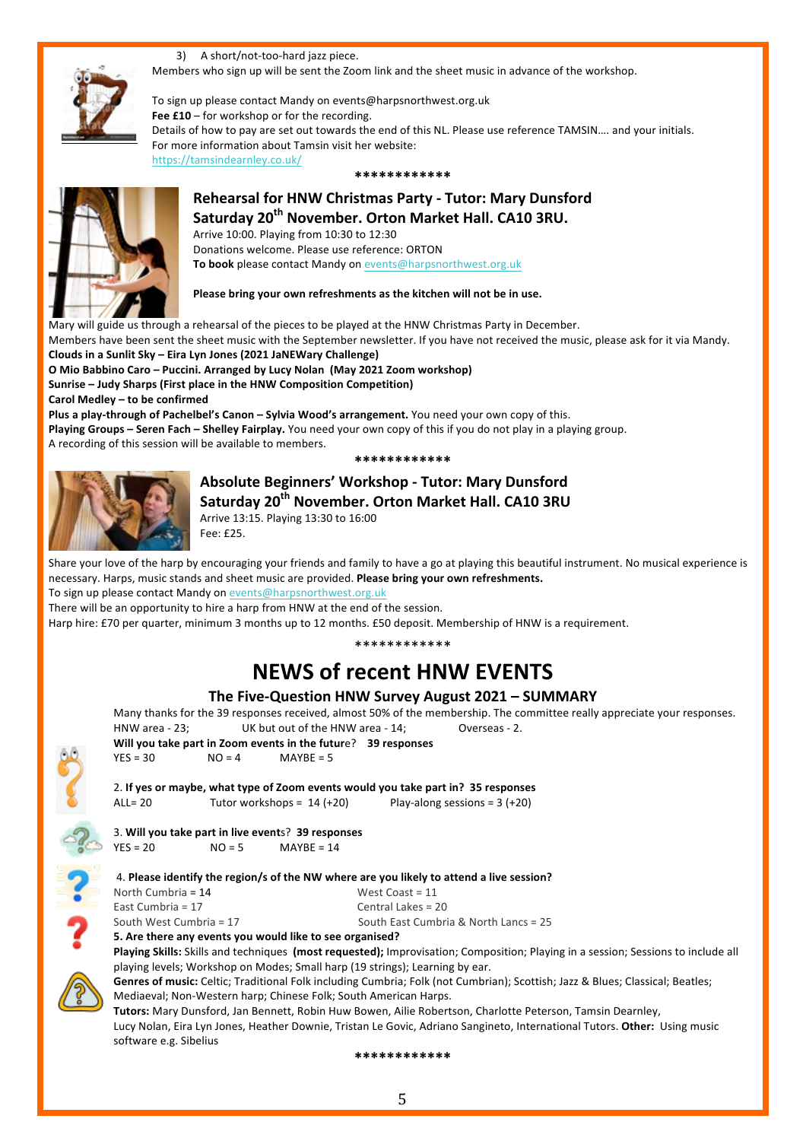3) A short/not-too-hard jazz piece. Members who sign up will be sent the Zoom link and the sheet music in advance of the workshop.

To sign up please contact Mandy on events@harpsnorthwest.org.uk Fee £10 – for workshop or for the recording. Details of how to pay are set out towards the end of this NL. Please use reference TAMSIN.... and your initials. For more information about Tamsin visit her website: https://tamsindearnley.co.uk/

**\*\*\*\*\*\*\*\*\*\*\*\***



**Rehearsal for HNW Christmas Party - Tutor: Mary Dunsford** Saturday 20<sup>th</sup> November. Orton Market Hall. CA10 3RU. Arrive 10:00. Playing from 10:30 to 12:30 Donations welcome. Please use reference: ORTON

To book please contact Mandy on events@harpsnorthwest.org.uk

#### Please bring your own refreshments as the kitchen will not be in use.

Mary will guide us through a rehearsal of the pieces to be played at the HNW Christmas Party in December. Members have been sent the sheet music with the September newsletter. If you have not received the music, please ask for it via Mandy. Clouds in a Sunlit Sky – Eira Lyn Jones (2021 JaNEWary Challenge) **O** Mio Babbino Caro – Puccini. Arranged by Lucy Nolan (May 2021 Zoom workshop) **Sunrise – Judy Sharps (First place in the HNW Composition Competition)** Carol Medley – to be confirmed Plus a play-through of Pachelbel's Canon - Sylvia Wood's arrangement. You need your own copy of this.

**Playing Groups – Seren Fach – Shelley Fairplay.** You need your own copy of this if you do not play in a playing group.

A recording of this session will be available to members.

#### **\*\*\*\*\*\*\*\*\*\*\*\***



**Absolute Beginners' Workshop - Tutor: Mary Dunsford** Saturday 20<sup>th</sup> November. Orton Market Hall. CA10 3RU Arrive 13:15. Playing 13:30 to 16:00 Fee: £25. 

Share your love of the harp by encouraging your friends and family to have a go at playing this beautiful instrument. No musical experience is necessary. Harps, music stands and sheet music are provided. **Please bring your own refreshments.** 

To sign up please contact Mandy on events@harpsnorthwest.org.uk

There will be an opportunity to hire a harp from HNW at the end of the session.

Harp hire: £70 per quarter, minimum 3 months up to 12 months. £50 deposit. Membership of HNW is a requirement.

#### \*\*\*\*\*\*\*\*\*\*\*\*

## **NEWS of recent HNW EVENTS**

## The Five-Question HNW Survey August 2021 - SUMMARY

Many thanks for the 39 responses received, almost 50% of the membership. The committee really appreciate your responses. HNW area - 23; BUK but out of the HNW area - 14; Dverseas - 2.

**Will you take part in Zoom events in the future?** 39 responses  $YES = 30$   $NO = 4$   $MAYBE = 5$ 

2. If yes or maybe, what type of Zoom events would you take part in? 35 responses ALL= 20 Tutor workshops = 14 (+20) Play-along sessions = 3 (+20)

3. **Will you take part in live event**s? **39 responses**  $YES = 20$   $NO = 5$   $MAPBE = 14$ 



| North Cumbria = 14      | West Coast = $11$                     |
|-------------------------|---------------------------------------|
| East Cumbria = $17$     | Central Lakes = 20                    |
| South West Cumbria = 17 | South East Cumbria & North Lancs = 25 |
|                         |                                       |

**5.** Are there any events you would like to see organised?



Playing Skills: Skills and techniques (most requested); Improvisation; Composition; Playing in a session; Sessions to include all playing levels; Workshop on Modes; Small harp (19 strings); Learning by ear.

Genres of music: Celtic; Traditional Folk including Cumbria; Folk (not Cumbrian); Scottish; Jazz & Blues; Classical; Beatles; Mediaeval; Non-Western harp; Chinese Folk; South American Harps.

Tutors: Mary Dunsford, Jan Bennett, Robin Huw Bowen, Ailie Robertson, Charlotte Peterson, Tamsin Dearnley, Lucy Nolan, Eira Lyn Jones, Heather Downie, Tristan Le Govic, Adriano Sangineto, International Tutors. Other: Using music software e.g. Sibelius

**\*\*\*\*\*\*\*\*\*\*\*\***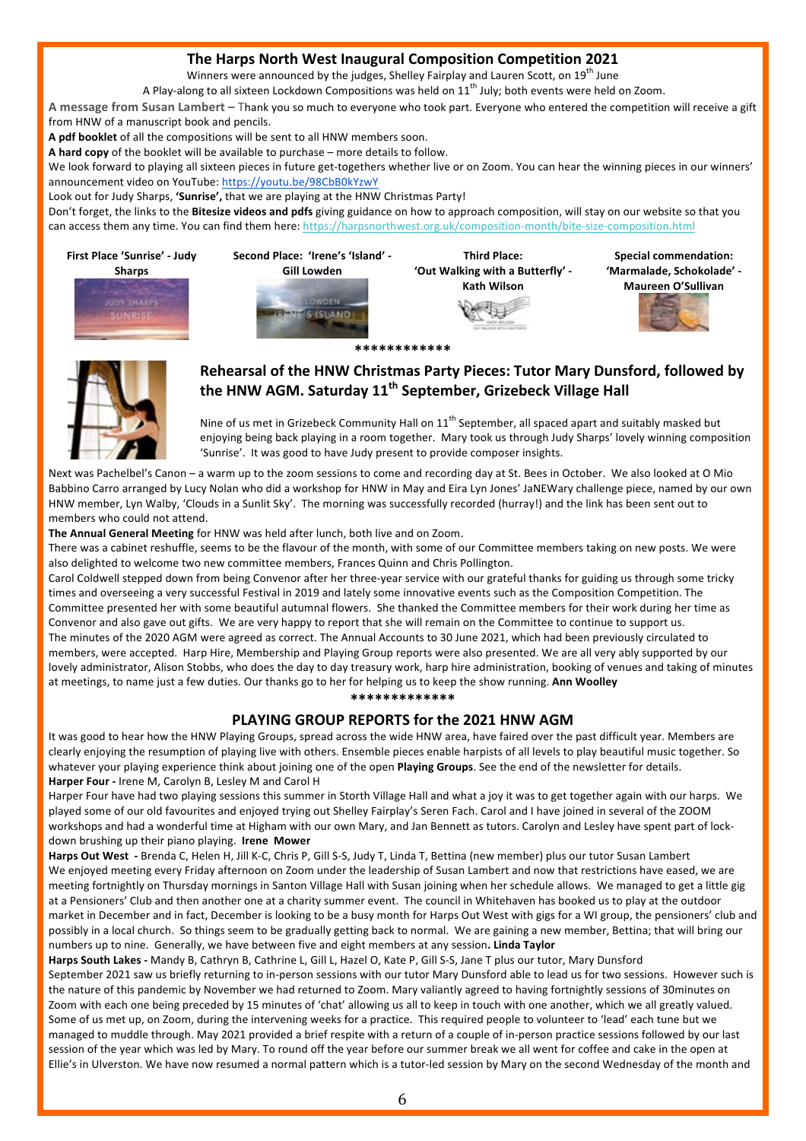## **The Harps North West Inaugural Composition Competition 2021**

Winners were announced by the judges, Shelley Fairplay and Lauren Scott, on  $19^{th}$  June

A Play-along to all sixteen Lockdown Compositions was held on  $11^{th}$  July; both events were held on Zoom.

A message from Susan Lambert – Thank you so much to everyone who took part. Everyone who entered the competition will receive a gift from HNW of a manuscript book and pencils.

A pdf booklet of all the compositions will be sent to all HNW members soon.

A hard copy of the booklet will be available to purchase – more details to follow.

We look forward to playing all sixteen pieces in future get-togethers whether live or on Zoom. You can hear the winning pieces in our winners' announcement video on YouTube: https://youtu.be/98CbB0kYzwY

Look out for Judy Sharps, 'Sunrise', that we are playing at the HNW Christmas Party!

Don't forget, the links to the **Bitesize videos and pdfs** giving guidance on how to approach composition, will stay on our website so that you can access them any time. You can find them here: https://harpsnorthwest.org.uk/composition-month/bite-size-composition.html



**\*\*\*\*\*\*\*\*\*\*\*\*** 



## Rehearsal of the HNW Christmas Party Pieces: Tutor Mary Dunsford, followed by the HNW AGM. Saturday 11<sup>th</sup> September, Grizebeck Village Hall

Nine of us met in Grizebeck Community Hall on  $11^{th}$  September, all spaced apart and suitably masked but enjoying being back playing in a room together. Mary took us through Judy Sharps' lovely winning composition 'Sunrise'. It was good to have Judy present to provide composer insights.

Next was Pachelbel's Canon - a warm up to the zoom sessions to come and recording day at St. Bees in October. We also looked at O Mio Babbino Carro arranged by Lucy Nolan who did a workshop for HNW in May and Eira Lyn Jones' JaNEWary challenge piece, named by our own HNW member, Lyn Walby, 'Clouds in a Sunlit Sky'. The morning was successfully recorded (hurray!) and the link has been sent out to members who could not attend.

The Annual General Meeting for HNW was held after lunch, both live and on Zoom.

There was a cabinet reshuffle, seems to be the flavour of the month, with some of our Committee members taking on new posts. We were also delighted to welcome two new committee members, Frances Quinn and Chris Pollington.

Carol Coldwell stepped down from being Convenor after her three-year service with our grateful thanks for guiding us through some tricky times and overseeing a very successful Festival in 2019 and lately some innovative events such as the Composition Competition. The Committee presented her with some beautiful autumnal flowers. She thanked the Committee members for their work during her time as Convenor and also gave out gifts. We are very happy to report that she will remain on the Committee to continue to support us. The minutes of the 2020 AGM were agreed as correct. The Annual Accounts to 30 June 2021, which had been previously circulated to members, were accepted. Harp Hire, Membership and Playing Group reports were also presented. We are all very ably supported by our lovely administrator, Alison Stobbs, who does the day to day treasury work, harp hire administration, booking of venues and taking of minutes at meetings, to name just a few duties. Our thanks go to her for helping us to keep the show running. Ann Woolley

**\*\*\*\*\*\*\*\*\*\*\*\*\***

## **PLAYING GROUP REPORTS for the 2021 HNW AGM**

It was good to hear how the HNW Playing Groups, spread across the wide HNW area, have faired over the past difficult year. Members are clearly enjoying the resumption of playing live with others. Ensemble pieces enable harpists of all levels to play beautiful music together. So whatever your playing experience think about joining one of the open Playing Groups. See the end of the newsletter for details. **Harper Four** - Irene M, Carolyn B, Lesley M and Carol H

Harper Four have had two playing sessions this summer in Storth Village Hall and what a joy it was to get together again with our harps. We played some of our old favourites and enjoyed trying out Shelley Fairplay's Seren Fach. Carol and I have joined in several of the ZOOM workshops and had a wonderful time at Higham with our own Mary, and Jan Bennett as tutors. Carolyn and Lesley have spent part of lockdown brushing up their piano playing. **Irene Mower** 

Harps Out West - Brenda C, Helen H, Jill K-C, Chris P, Gill S-S, Judy T, Linda T, Bettina (new member) plus our tutor Susan Lambert We enjoyed meeting every Friday afternoon on Zoom under the leadership of Susan Lambert and now that restrictions have eased, we are meeting fortnightly on Thursday mornings in Santon Village Hall with Susan joining when her schedule allows. We managed to get a little gig at a Pensioners' Club and then another one at a charity summer event. The council in Whitehaven has booked us to play at the outdoor market in December and in fact, December is looking to be a busy month for Harps Out West with gigs for a WI group, the pensioners' club and possibly in a local church. So things seem to be gradually getting back to normal. We are gaining a new member, Bettina; that will bring our numbers up to nine. Generally, we have between five and eight members at any session. Linda Taylor

Harps South Lakes - Mandy B, Cathryn B, Cathrine L, Gill L, Hazel O, Kate P, Gill S-S, Jane T plus our tutor, Mary Dunsford September 2021 saw us briefly returning to in-person sessions with our tutor Mary Dunsford able to lead us for two sessions. However such is the nature of this pandemic by November we had returned to Zoom. Mary valiantly agreed to having fortnightly sessions of 30minutes on Zoom with each one being preceded by 15 minutes of 'chat' allowing us all to keep in touch with one another, which we all greatly valued. Some of us met up, on Zoom, during the intervening weeks for a practice. This required people to volunteer to 'lead' each tune but we managed to muddle through. May 2021 provided a brief respite with a return of a couple of in-person practice sessions followed by our last session of the year which was led by Mary. To round off the year before our summer break we all went for coffee and cake in the open at Ellie's in Ulverston. We have now resumed a normal pattern which is a tutor-led session by Mary on the second Wednesday of the month and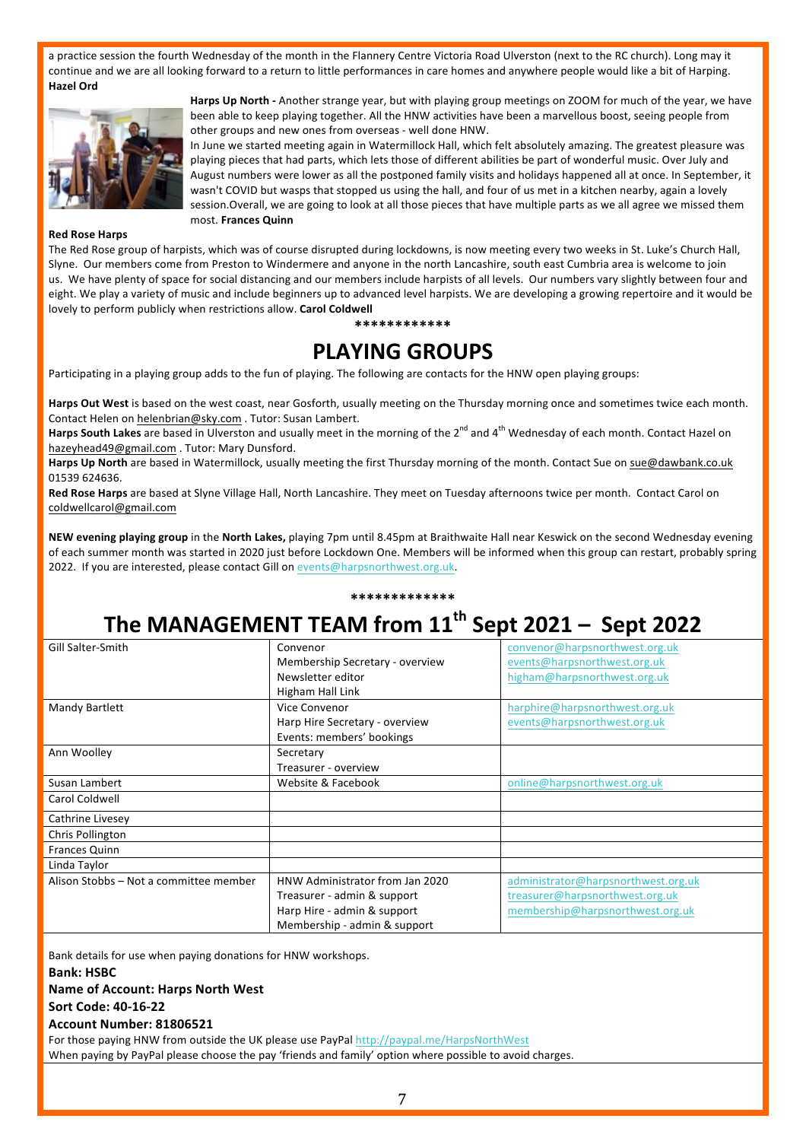a practice session the fourth Wednesday of the month in the Flannery Centre Victoria Road Ulverston (next to the RC church). Long may it continue and we are all looking forward to a return to little performances in care homes and anywhere people would like a bit of Harping. **Hazel Ord** 



Harps Up North - Another strange year, but with playing group meetings on ZOOM for much of the year, we have been able to keep playing together. All the HNW activities have been a marvellous boost, seeing people from other groups and new ones from overseas - well done HNW.

In June we started meeting again in Watermillock Hall, which felt absolutely amazing. The greatest pleasure was playing pieces that had parts, which lets those of different abilities be part of wonderful music. Over July and August numbers were lower as all the postponed family visits and holidays happened all at once. In September, it wasn't COVID but wasps that stopped us using the hall, and four of us met in a kitchen nearby, again a lovely session. Overall, we are going to look at all those pieces that have multiple parts as we all agree we missed them most. **Frances Quinn** 

#### **Red Rose Harps**

The Red Rose group of harpists, which was of course disrupted during lockdowns, is now meeting every two weeks in St. Luke's Church Hall, Slyne. Our members come from Preston to Windermere and anyone in the north Lancashire, south east Cumbria area is welcome to join us. We have plenty of space for social distancing and our members include harpists of all levels. Our numbers vary slightly between four and eight. We play a variety of music and include beginners up to advanced level harpists. We are developing a growing repertoire and it would be lovely to perform publicly when restrictions allow. Carol Coldwell

#### **\*\*\*\*\*\*\*\*\*\*\*\***

## **PLAYING GROUPS**

Participating in a playing group adds to the fun of playing. The following are contacts for the HNW open playing groups:

Harps Out West is based on the west coast, near Gosforth, usually meeting on the Thursday morning once and sometimes twice each month. Contact Helen on helenbrian@sky.com . Tutor: Susan Lambert.

Harps South Lakes are based in Ulverston and usually meet in the morning of the 2<sup>nd</sup> and 4<sup>th</sup> Wednesday of each month. Contact Hazel on hazeyhead49@gmail.com . Tutor: Mary Dunsford.

Harps Up North are based in Watermillock, usually meeting the first Thursday morning of the month. Contact Sue on sue@dawbank.co.uk 01539 624636. 

Red Rose Harps are based at Slyne Village Hall, North Lancashire. They meet on Tuesday afternoons twice per month. Contact Carol on coldwellcarol@gmail.com

NEW evening playing group in the North Lakes, playing 7pm until 8.45pm at Braithwaite Hall near Keswick on the second Wednesday evening of each summer month was started in 2020 just before Lockdown One. Members will be informed when this group can restart, probably spring 2022. If you are interested, please contact Gill on events@harpsnorthwest.org.uk.

## **\*\*\*\*\*\*\*\*\*\*\*\*\***

# The MANAGEMENT TEAM from 11<sup>th</sup> Sept 2021 – Sept 2022

| Gill Salter-Smith                      | Convenor                        | convenor@harpsnorthwest.org.uk      |
|----------------------------------------|---------------------------------|-------------------------------------|
|                                        | Membership Secretary - overview | events@harpsnorthwest.org.uk        |
|                                        | Newsletter editor               | higham@harpsnorthwest.org.uk        |
|                                        | Higham Hall Link                |                                     |
| Mandy Bartlett                         | Vice Convenor                   | harphire@harpsnorthwest.org.uk      |
|                                        | Harp Hire Secretary - overview  | events@harpsnorthwest.org.uk        |
|                                        | Events: members' bookings       |                                     |
| Ann Woolley                            | Secretary                       |                                     |
|                                        | Treasurer - overview            |                                     |
| Susan Lambert                          | Website & Facebook              | online@harpsnorthwest.org.uk        |
| Carol Coldwell                         |                                 |                                     |
| Cathrine Livesey                       |                                 |                                     |
| Chris Pollington                       |                                 |                                     |
| Frances Quinn                          |                                 |                                     |
| Linda Taylor                           |                                 |                                     |
| Alison Stobbs - Not a committee member | HNW Administrator from Jan 2020 | administrator@harpsnorthwest.org.uk |
|                                        | Treasurer - admin & support     | treasurer@harpsnorthwest.org.uk     |
|                                        | Harp Hire - admin & support     | membership@harpsnorthwest.org.uk    |
|                                        | Membership - admin & support    |                                     |

Bank details for use when paying donations for HNW workshops.

**Bank: HSBC**

**Name of Account: Harps North West** 

**Sort Code: 40-16-22**

#### **Account Number: 81806521**

For those paying HNW from outside the UK please use PayPal http://paypal.me/HarpsNorthWest When paying by PayPal please choose the pay 'friends and family' option where possible to avoid charges.